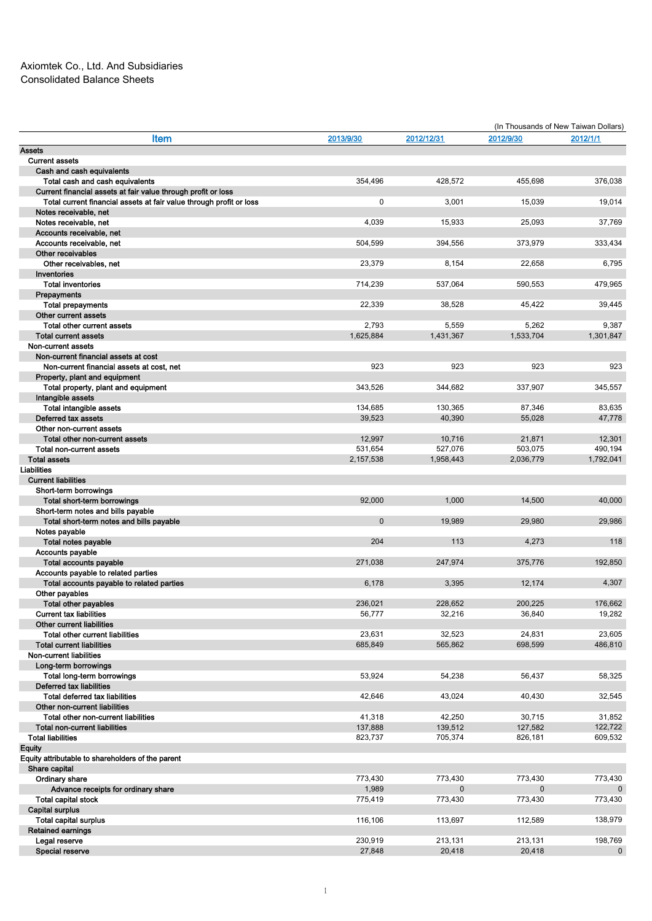|                                                        |                                                                     |              |                | (In Thousands of New Taiwan Dollars) |           |  |
|--------------------------------------------------------|---------------------------------------------------------------------|--------------|----------------|--------------------------------------|-----------|--|
|                                                        | Item                                                                | 2013/9/30    | 2012/12/31     | 2012/9/30                            | 2012/1/1  |  |
| <b>Assets</b>                                          |                                                                     |              |                |                                      |           |  |
| <b>Current assets</b>                                  |                                                                     |              |                |                                      |           |  |
| Cash and cash equivalents                              |                                                                     |              |                |                                      |           |  |
|                                                        | Total cash and cash equivalents                                     | 354,496      | 428,572        | 455,698                              | 376,038   |  |
|                                                        | Current financial assets at fair value through profit or loss       |              |                |                                      |           |  |
|                                                        | Total current financial assets at fair value through profit or loss | 0            | 3,001          | 15,039                               | 19,014    |  |
| Notes receivable, net                                  |                                                                     |              |                |                                      |           |  |
| Notes receivable, net                                  |                                                                     | 4,039        | 15,933         | 25,093                               | 37,769    |  |
| Accounts receivable, net                               |                                                                     |              |                |                                      |           |  |
| Accounts receivable, net                               |                                                                     | 504,599      | 394,556        | 373,979                              | 333,434   |  |
| Other receivables                                      |                                                                     |              |                |                                      |           |  |
|                                                        |                                                                     |              |                |                                      | 6,795     |  |
| Other receivables, net                                 |                                                                     | 23,379       | 8,154          | 22,658                               |           |  |
| Inventories                                            |                                                                     |              |                |                                      |           |  |
| <b>Total inventories</b>                               |                                                                     | 714,239      | 537,064        | 590,553                              | 479,965   |  |
| Prepayments                                            |                                                                     |              |                |                                      |           |  |
| <b>Total prepayments</b>                               |                                                                     | 22,339       | 38,528         | 45,422                               | 39,445    |  |
| Other current assets                                   |                                                                     |              |                |                                      |           |  |
| Total other current assets                             |                                                                     | 2,793        | 5,559          | 5,262                                | 9,387     |  |
| <b>Total current assets</b>                            |                                                                     | 1,625,884    | 1,431,367      | 1,533,704                            | 1,301,847 |  |
| Non-current assets                                     |                                                                     |              |                |                                      |           |  |
|                                                        | Non-current financial assets at cost                                |              |                |                                      |           |  |
|                                                        | Non-current financial assets at cost, net                           | 923          | 923            | 923                                  | 923       |  |
| Property, plant and equipment                          |                                                                     |              |                |                                      |           |  |
|                                                        | Total property, plant and equipment                                 | 343,526      | 344,682        | 337,907                              | 345,557   |  |
| Intangible assets                                      |                                                                     |              |                |                                      |           |  |
| <b>Total intangible assets</b>                         |                                                                     | 134,685      | 130,365        | 87,346                               | 83,635    |  |
| Deferred tax assets                                    |                                                                     | 39,523       | 40,390         | 55.028                               | 47,778    |  |
| Other non-current assets                               |                                                                     |              |                |                                      |           |  |
|                                                        | Total other non-current assets                                      | 12,997       | 10,716         | 21,871                               | 12,301    |  |
| Total non-current assets                               |                                                                     | 531.654      | 527,076        | 503,075                              | 490,194   |  |
| <b>Total assets</b>                                    |                                                                     | 2,157,538    | 1,958,443      | 2,036,779                            | 1,792,041 |  |
| <b>Liabilities</b>                                     |                                                                     |              |                |                                      |           |  |
| <b>Current liabilities</b>                             |                                                                     |              |                |                                      |           |  |
| Short-term borrowings                                  |                                                                     |              |                |                                      |           |  |
| Total short-term borrowings                            |                                                                     | 92,000       | 1,000          | 14,500                               | 40,000    |  |
|                                                        | Short-term notes and bills payable                                  |              |                |                                      |           |  |
|                                                        | Total short-term notes and bills payable                            | $\mathbf{0}$ | 19,989         | 29,980                               | 29.986    |  |
| Notes payable                                          |                                                                     |              |                |                                      |           |  |
| Total notes payable                                    |                                                                     | 204          | 113            | 4,273                                | 118       |  |
| Accounts payable                                       |                                                                     |              |                |                                      |           |  |
| Total accounts payable                                 |                                                                     | 271,038      | 247,974        | 375,776                              | 192,850   |  |
|                                                        | Accounts payable to related parties                                 |              |                |                                      |           |  |
|                                                        | Total accounts payable to related parties                           | 6,178        | 3,395          | 12,174                               | 4,307     |  |
| Other payables                                         |                                                                     |              |                |                                      |           |  |
| <b>Total other payables</b>                            |                                                                     | 236,021      | 228,652        | 200.225                              | 176,662   |  |
| <b>Current tax liabilities</b>                         |                                                                     | 56,777       | 32,216         | 36,840                               | 19,282    |  |
| <b>Other current liabilities</b>                       |                                                                     |              |                |                                      |           |  |
| <b>Total other current liabilities</b>                 |                                                                     | 23,631       | 32,523         | 24,831                               | 23,605    |  |
| <b>Total current liabilities</b>                       |                                                                     | 685,849      | 565,862        | 698,599                              | 486,810   |  |
| <b>Non-current liabilities</b>                         |                                                                     |              |                |                                      |           |  |
| Long-term borrowings                                   |                                                                     |              |                |                                      |           |  |
|                                                        |                                                                     | 53,924       | 54,238         | 56,437                               |           |  |
| Total long-term borrowings<br>Deferred tax liabilities |                                                                     |              |                |                                      | 58,325    |  |
|                                                        |                                                                     |              |                |                                      |           |  |
| Total deferred tax liabilities                         |                                                                     | 42,646       | 43,024         | 40,430                               | 32,545    |  |
| Other non-current liabilities                          |                                                                     |              |                |                                      |           |  |
|                                                        | Total other non-current liabilities                                 | 41,318       | 42,250         | 30,715                               | 31,852    |  |
| <b>Total non-current liabilities</b>                   |                                                                     | 137,888      | 139,512        | 127,582                              | 122,722   |  |
| <b>Total liabilities</b>                               |                                                                     | 823,737      | 705,374        | 826,181                              | 609,532   |  |
| <b>Equity</b>                                          |                                                                     |              |                |                                      |           |  |
|                                                        | Equity attributable to shareholders of the parent                   |              |                |                                      |           |  |
| Share capital                                          |                                                                     |              |                |                                      |           |  |
| Ordinary share                                         |                                                                     | 773,430      | 773,430        | 773,430                              | 773,430   |  |
|                                                        | Advance receipts for ordinary share                                 | 1,989        | $\overline{0}$ | $\mathbf{0}$                         |           |  |
| <b>Total capital stock</b>                             |                                                                     | 775,419      | 773,430        | 773,430                              | 773,430   |  |
| <b>Capital surplus</b>                                 |                                                                     |              |                |                                      |           |  |
| <b>Total capital surplus</b>                           |                                                                     | 116,106      | 113,697        | 112,589                              | 138,979   |  |
| <b>Retained earnings</b>                               |                                                                     |              |                |                                      |           |  |
| Legal reserve                                          |                                                                     | 230,919      | 213,131        | 213,131                              | 198,769   |  |
| Special reserve                                        |                                                                     | 27,848       | 20,418         | 20,418                               | $\pmb{0}$ |  |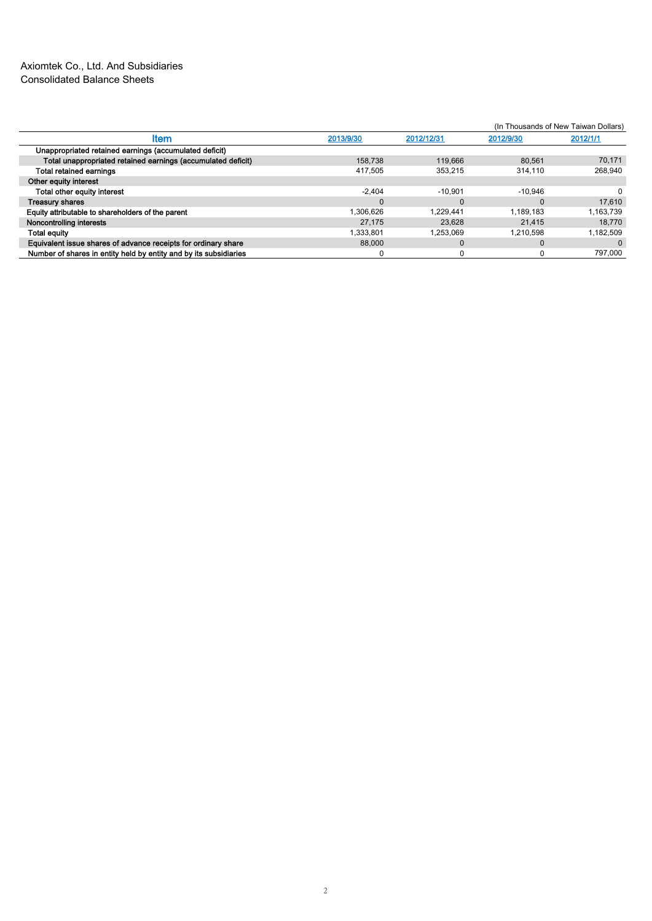## Axiomtek Co., Ltd. And Subsidiaries Consolidated Balance Sheets

|                                                                   |             |            | (In Thousands of New Taiwan Dollars) |           |  |  |
|-------------------------------------------------------------------|-------------|------------|--------------------------------------|-----------|--|--|
| <b>Item</b>                                                       | 2013/9/30   | 2012/12/31 | 2012/9/30                            | 2012/1/1  |  |  |
| Unappropriated retained earnings (accumulated deficit)            |             |            |                                      |           |  |  |
| Total unappropriated retained earnings (accumulated deficit)      | 158.738     | 119,666    | 80.561                               | 70.171    |  |  |
| <b>Total retained earnings</b>                                    | 417.505     | 353.215    | 314.110                              | 268.940   |  |  |
| Other equity interest                                             |             |            |                                      |           |  |  |
| Total other equity interest                                       | $-2.404$    | $-10.901$  | $-10.946$                            |           |  |  |
| <b>Treasury shares</b>                                            | $\mathbf 0$ | C          | $\Omega$                             | 17.610    |  |  |
| Equity attributable to shareholders of the parent                 | 1.306.626   | 1.229.441  | 1.189.183                            | 1,163,739 |  |  |
| Noncontrolling interests                                          | 27.175      | 23.628     | 21.415                               | 18.770    |  |  |
| <b>Total equity</b>                                               | 1.333.801   | 1.253.069  | 1.210.598                            | 1.182.509 |  |  |
| Equivalent issue shares of advance receipts for ordinary share    | 88,000      | 0          | $\Omega$                             | $\Omega$  |  |  |
| Number of shares in entity held by entity and by its subsidiaries | 0           |            | 0                                    | 797,000   |  |  |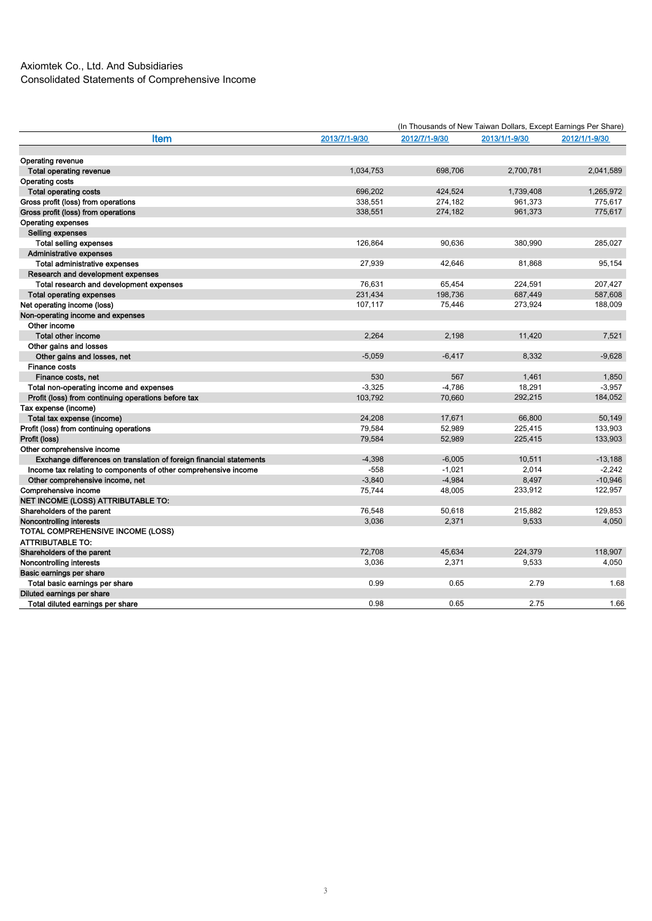|                                                                     |               | (In Thousands of New Taiwan Dollars, Except Earnings Per Share) |               |               |  |  |
|---------------------------------------------------------------------|---------------|-----------------------------------------------------------------|---------------|---------------|--|--|
| <b>Item</b>                                                         | 2013/7/1-9/30 | 2012/7/1-9/30                                                   | 2013/1/1-9/30 | 2012/1/1-9/30 |  |  |
|                                                                     |               |                                                                 |               |               |  |  |
| <b>Operating revenue</b>                                            |               |                                                                 |               |               |  |  |
| <b>Total operating revenue</b>                                      | 1,034,753     | 698,706                                                         | 2,700,781     | 2.041.589     |  |  |
| <b>Operating costs</b>                                              |               |                                                                 |               |               |  |  |
| <b>Total operating costs</b>                                        | 696.202       | 424.524                                                         | 1,739,408     | 1.265.972     |  |  |
| Gross profit (loss) from operations                                 | 338,551       | 274,182                                                         | 961,373       | 775,617       |  |  |
| Gross profit (loss) from operations                                 | 338,551       | 274,182                                                         | 961,373       | 775,617       |  |  |
| <b>Operating expenses</b>                                           |               |                                                                 |               |               |  |  |
| Selling expenses                                                    |               |                                                                 |               |               |  |  |
| <b>Total selling expenses</b>                                       | 126,864       | 90,636                                                          | 380,990       | 285,027       |  |  |
| Administrative expenses                                             |               |                                                                 |               |               |  |  |
| Total administrative expenses                                       | 27,939        | 42,646                                                          | 81,868        | 95,154        |  |  |
| Research and development expenses                                   |               |                                                                 |               |               |  |  |
| Total research and development expenses                             | 76,631        | 65,454                                                          | 224,591       | 207,427       |  |  |
| <b>Total operating expenses</b>                                     | 231,434       | 198,736                                                         | 687,449       | 587,608       |  |  |
| Net operating income (loss)                                         | 107,117       | 75,446                                                          | 273,924       | 188,009       |  |  |
| Non-operating income and expenses                                   |               |                                                                 |               |               |  |  |
| Other income                                                        |               |                                                                 |               |               |  |  |
| <b>Total other income</b>                                           | 2,264         | 2,198                                                           | 11,420        | 7,521         |  |  |
| Other gains and losses                                              |               |                                                                 |               |               |  |  |
| Other gains and losses, net                                         | $-5,059$      | $-6,417$                                                        | 8,332         | $-9,628$      |  |  |
| <b>Finance costs</b>                                                |               |                                                                 |               |               |  |  |
| Finance costs, net                                                  | 530           | 567                                                             | 1,461         | 1,850         |  |  |
| Total non-operating income and expenses                             | $-3,325$      | $-4,786$                                                        | 18,291        | $-3,957$      |  |  |
| Profit (loss) from continuing operations before tax                 | 103,792       | 70,660                                                          | 292,215       | 184,052       |  |  |
| Tax expense (income)                                                |               |                                                                 |               |               |  |  |
| Total tax expense (income)                                          | 24,208        | 17,671                                                          | 66,800        | 50,149        |  |  |
| Profit (loss) from continuing operations                            | 79,584        | 52,989                                                          | 225,415       | 133,903       |  |  |
| Profit (loss)                                                       | 79,584        | 52,989                                                          | 225,415       | 133,903       |  |  |
| Other comprehensive income                                          |               |                                                                 |               |               |  |  |
| Exchange differences on translation of foreign financial statements | $-4,398$      | $-6,005$                                                        | 10,511        | $-13,188$     |  |  |
| Income tax relating to components of other comprehensive income     | $-558$        | $-1.021$                                                        | 2,014         | $-2.242$      |  |  |
| Other comprehensive income, net                                     | $-3,840$      | $-4,984$                                                        | 8,497         | $-10,946$     |  |  |
| Comprehensive income                                                | 75,744        | 48,005                                                          | 233,912       | 122,957       |  |  |
| <b>NET INCOME (LOSS) ATTRIBUTABLE TO:</b>                           |               |                                                                 |               |               |  |  |
| Shareholders of the parent                                          | 76,548        | 50,618                                                          | 215,882       | 129,853       |  |  |
| Noncontrolling interests                                            | 3,036         | 2,371                                                           | 9,533         | 4,050         |  |  |
| TOTAL COMPREHENSIVE INCOME (LOSS)                                   |               |                                                                 |               |               |  |  |
| <b>ATTRIBUTABLE TO:</b>                                             |               |                                                                 |               |               |  |  |
| Shareholders of the parent                                          | 72,708        | 45,634                                                          | 224,379       | 118,907       |  |  |
| Noncontrolling interests                                            | 3,036         | 2,371                                                           | 9,533         | 4,050         |  |  |
| Basic earnings per share                                            |               |                                                                 |               |               |  |  |
| Total basic earnings per share                                      | 0.99          | 0.65                                                            | 2.79          | 1.68          |  |  |
| Diluted earnings per share                                          |               |                                                                 |               |               |  |  |
| Total diluted earnings per share                                    | 0.98          | 0.65                                                            | 2.75          | 1.66          |  |  |
|                                                                     |               |                                                                 |               |               |  |  |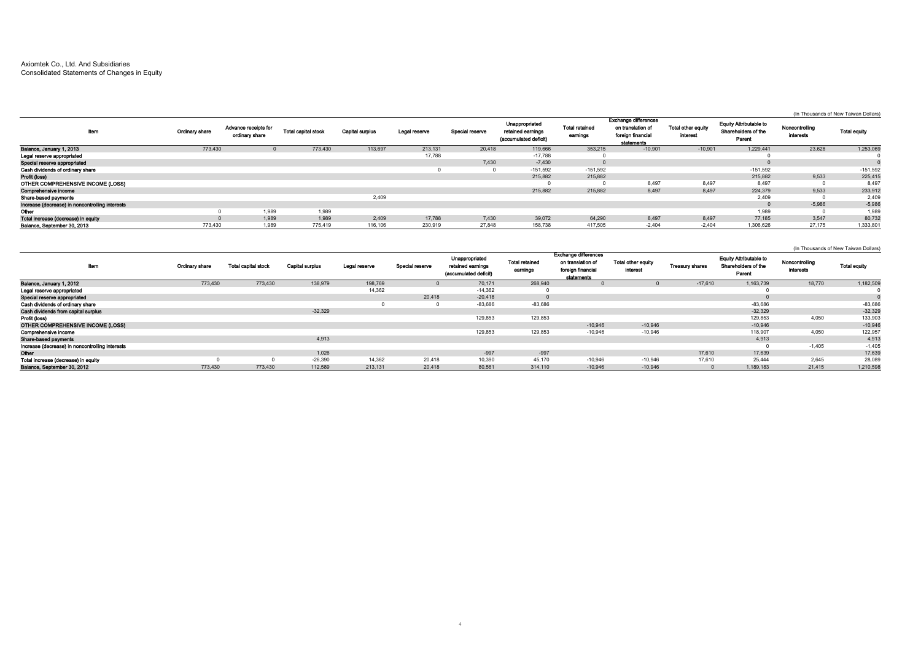## Axiomtek Co., Ltd. And Subsidiaries Consolidated Statements of Changes in Equity

|                                                 |                       |                                        |                            |                        |               |                 |                                                              |                                   |                                                                                     |                                       |                                                                |                                    | (In Thousands of New Taiwan Dollars) |
|-------------------------------------------------|-----------------------|----------------------------------------|----------------------------|------------------------|---------------|-----------------|--------------------------------------------------------------|-----------------------------------|-------------------------------------------------------------------------------------|---------------------------------------|----------------------------------------------------------------|------------------------------------|--------------------------------------|
| ltem                                            | <b>Ordinary share</b> | Advance receipts for<br>ordinary share | <b>Total capital stock</b> | <b>Capital surplus</b> | Legal reserve | Special reserve | Unappropriated<br>retained earnings<br>(accumulated deficit) | <b>Total retained</b><br>earnings | <b>Exchange differences</b><br>on translation of<br>foreign financial<br>statements | Total other equity<br><i>interest</i> | <b>Equity Attributable to</b><br>Shareholders of the<br>Parent | Noncontrolling<br><b>interests</b> | <b>Total equity</b>                  |
| Balance, January 1, 2013                        | 773,430               |                                        | 773,430                    | 113,697                | 213,131       | 20,418          | 119,666                                                      | 353,215                           | $-10,901$                                                                           | $-10,901$                             | 1,229,441                                                      | 23,628                             | 1,253,069                            |
| Legal reserve appropriated                      |                       |                                        |                            |                        | 17,788        |                 | $-17,788$                                                    |                                   |                                                                                     |                                       |                                                                |                                    |                                      |
| Special reserve appropriated                    |                       |                                        |                            |                        |               | 7,430           | $-7,430$                                                     |                                   |                                                                                     |                                       |                                                                |                                    |                                      |
| Cash dividends of ordinary share                |                       |                                        |                            |                        |               |                 | $-151,592$                                                   | $-151,592$                        |                                                                                     |                                       | $-151,592$                                                     |                                    | $-151,592$                           |
| Profit (loss)                                   |                       |                                        |                            |                        |               |                 | 215,882                                                      | 215,882                           |                                                                                     |                                       | 215,882                                                        | 9.533                              | 225,415                              |
| OTHER COMPREHENSIVE INCOME (LOSS)               |                       |                                        |                            |                        |               |                 |                                                              |                                   | 8,497                                                                               | 8,497                                 | 8,497                                                          |                                    | 8,497                                |
| Comprehensive income                            |                       |                                        |                            |                        |               |                 | 215,882                                                      | 215,882                           | 8,497                                                                               | 8,497                                 | 224,379                                                        | 9.533                              | 233,912                              |
| Share-based payments                            |                       |                                        |                            | 2,409                  |               |                 |                                                              |                                   |                                                                                     |                                       | 2,409                                                          |                                    | 2,409                                |
| Increase (decrease) in noncontrolling interests |                       |                                        |                            |                        |               |                 |                                                              |                                   |                                                                                     |                                       |                                                                | $-5.986$                           | $-5,986$                             |
| Other                                           |                       | 1,989                                  | 1,989                      |                        |               |                 |                                                              |                                   |                                                                                     |                                       | 1,989                                                          |                                    | 1,989                                |
| Total increase (decrease) in equity             |                       | 1.989                                  | 1,989                      | 2.409                  | 17,788        | 7,430           | 39.072                                                       | 64.290                            | 8.497                                                                               | 8.497                                 | 77.185                                                         | 3.547                              | 80,732                               |
| Balance, September 30, 2013                     | 773,430               | 1,989                                  | 775,419                    | 116,106                | 230.919       | 27.848          | 158,738                                                      | 417,505                           | $-2.404$                                                                            | $-2.404$                              | 1,306,626                                                      | 27.175                             | 1,333,801                            |

|                                                 |                |                            |                        |               |                 |                                                              |                                   |                                                                                     |                                |                        |                                                                |                             | (In Thousands of New Taiwan Dollars) |
|-------------------------------------------------|----------------|----------------------------|------------------------|---------------|-----------------|--------------------------------------------------------------|-----------------------------------|-------------------------------------------------------------------------------------|--------------------------------|------------------------|----------------------------------------------------------------|-----------------------------|--------------------------------------|
| Item                                            | Ordinary share | <b>Total capital stock</b> | <b>Capital surplus</b> | Legal reserve | Special reserve | Unappropriated<br>retained earnings<br>(accumulated deficit) | <b>Total retained</b><br>earnings | <b>Exchange differences</b><br>on translation of<br>foreign financial<br>statements | Total other equity<br>interest | <b>Treasury shares</b> | <b>Equity Attributable to</b><br>Shareholders of the<br>Parent | Noncontrolling<br>interests | <b>Total equity</b>                  |
| Balance, January 1, 2012                        | 773,430        | 773,430                    | 138,979                | 198,769       |                 | 70,171                                                       | 268,940                           |                                                                                     |                                | $-17,610$              | 1,163,739                                                      | 18,770                      | 1,182,509                            |
| Legal reserve appropriated                      |                |                            |                        | 14,362        |                 | $-14,362$                                                    |                                   |                                                                                     |                                |                        |                                                                |                             |                                      |
| Special reserve appropriated                    |                |                            |                        |               | 20,418          | $-20,418$                                                    |                                   |                                                                                     |                                |                        |                                                                |                             |                                      |
| Cash dividends of ordinary share                |                |                            |                        |               |                 | $-83,686$                                                    | $-83,686$                         |                                                                                     |                                |                        | $-83,686$                                                      |                             | $-83,686$                            |
| Cash dividends from capital surplus             |                |                            | $-32,329$              |               |                 |                                                              |                                   |                                                                                     |                                |                        | $-32,329$                                                      |                             | $-32,329$                            |
| Profit (loss)                                   |                |                            |                        |               |                 | 129,853                                                      | 129,853                           |                                                                                     |                                |                        | 129,853                                                        | 4,050                       | 133,903                              |
| OTHER COMPREHENSIVE INCOME (LOSS)               |                |                            |                        |               |                 |                                                              |                                   | $-10.946$                                                                           | $-10,946$                      |                        | $-10,946$                                                      |                             | $-10,946$                            |
| Comprehensive income                            |                |                            |                        |               |                 | 129,853                                                      | 129,853                           | $-10,946$                                                                           | $-10,946$                      |                        | 118,907                                                        | 4,050                       | 122,95                               |
| Share-based payments                            |                |                            | 4,913                  |               |                 |                                                              |                                   |                                                                                     |                                |                        | 4,913                                                          |                             | 4,913                                |
| Increase (decrease) in noncontrolling interests |                |                            |                        |               |                 |                                                              |                                   |                                                                                     |                                |                        |                                                                | $-1.405$                    | $-1,405$                             |
| Other                                           |                |                            | 1,026                  |               |                 | $-997$                                                       | $-997$                            |                                                                                     |                                | 17,610                 | 17,639                                                         |                             | 17,639                               |
| Total increase (decrease) in equity             |                |                            | $-26,390$              | 14.362        | 20.418          | 10,390                                                       | 45.170                            | $-10,946$                                                                           | $-10.946$                      | 17,610                 | 25,444                                                         | 2,645                       | 28,089                               |
| Balance, September 30, 2012                     | 773,430        | 773,430                    | 112.589                | 213.131       | 20,418          | 80.561                                                       | 314.110                           | $-10.946$                                                                           | $-10.946$                      |                        | 1.189.183                                                      | 21.415                      | 1,210,598                            |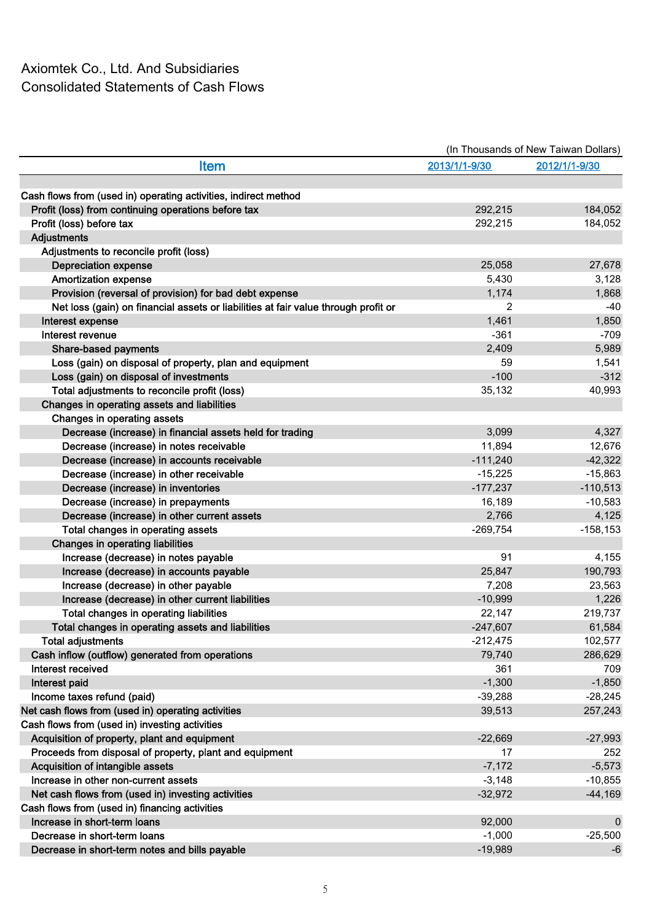## Axiomtek Co., Ltd. And Subsidiaries Consolidated Statements of Cash Flows

|                                                                                    | (In Thousands of New Taiwan Dollars) |               |  |  |  |
|------------------------------------------------------------------------------------|--------------------------------------|---------------|--|--|--|
| <b>Item</b>                                                                        | 2013/1/1-9/30                        | 2012/1/1-9/30 |  |  |  |
|                                                                                    |                                      |               |  |  |  |
| Cash flows from (used in) operating activities, indirect method                    |                                      |               |  |  |  |
| Profit (loss) from continuing operations before tax                                | 292,215                              | 184,052       |  |  |  |
| Profit (loss) before tax                                                           | 292,215                              | 184,052       |  |  |  |
| <b>Adjustments</b>                                                                 |                                      |               |  |  |  |
| Adjustments to reconcile profit (loss)                                             |                                      |               |  |  |  |
| <b>Depreciation expense</b>                                                        | 25,058                               | 27,678        |  |  |  |
| <b>Amortization expense</b>                                                        | 5,430                                | 3,128         |  |  |  |
| Provision (reversal of provision) for bad debt expense                             | 1,174                                | 1,868         |  |  |  |
| Net loss (gain) on financial assets or liabilities at fair value through profit or | 2                                    | $-40$         |  |  |  |
| Interest expense                                                                   | 1,461                                | 1,850         |  |  |  |
| Interest revenue                                                                   | $-361$                               | $-709$        |  |  |  |
| <b>Share-based payments</b>                                                        | 2,409                                | 5,989         |  |  |  |
| Loss (gain) on disposal of property, plan and equipment                            | 59                                   | 1,541         |  |  |  |
| Loss (gain) on disposal of investments                                             | $-100$                               | $-312$        |  |  |  |
| Total adjustments to reconcile profit (loss)                                       | 35,132                               | 40,993        |  |  |  |
| Changes in operating assets and liabilities                                        |                                      |               |  |  |  |
| Changes in operating assets                                                        |                                      |               |  |  |  |
| Decrease (increase) in financial assets held for trading                           | 3,099                                | 4,327         |  |  |  |
| Decrease (increase) in notes receivable                                            | 11,894                               | 12,676        |  |  |  |
| Decrease (increase) in accounts receivable                                         | $-111,240$                           | $-42,322$     |  |  |  |
| Decrease (increase) in other receivable                                            | $-15,225$                            | $-15,863$     |  |  |  |
| Decrease (increase) in inventories                                                 | $-177,237$                           | $-110,513$    |  |  |  |
| Decrease (increase) in prepayments                                                 | 16,189                               | $-10,583$     |  |  |  |
| Decrease (increase) in other current assets                                        | 2,766                                | 4,125         |  |  |  |
| Total changes in operating assets                                                  | $-269,754$                           | $-158, 153$   |  |  |  |
| Changes in operating liabilities                                                   |                                      |               |  |  |  |
| Increase (decrease) in notes payable                                               | 91                                   | 4,155         |  |  |  |
| Increase (decrease) in accounts payable                                            | 25,847                               | 190,793       |  |  |  |
| Increase (decrease) in other payable                                               | 7,208                                | 23,563        |  |  |  |
| Increase (decrease) in other current liabilities                                   | $-10,999$                            | 1,226         |  |  |  |
| Total changes in operating liabilities                                             | 22,147                               | 219,737       |  |  |  |
| Total changes in operating assets and liabilities                                  | $-247,607$                           | 61,584        |  |  |  |
| <b>Total adjustments</b>                                                           | $-212,475$                           | 102,577       |  |  |  |
| Cash inflow (outflow) generated from operations                                    | 79,740                               | 286,629       |  |  |  |
| Interest received                                                                  | 361                                  | 709           |  |  |  |
| Interest paid                                                                      | $-1,300$                             | $-1,850$      |  |  |  |
| Income taxes refund (paid)                                                         | $-39,288$                            | $-28,245$     |  |  |  |
| Net cash flows from (used in) operating activities                                 | 39,513                               | 257,243       |  |  |  |
| Cash flows from (used in) investing activities                                     |                                      |               |  |  |  |
| Acquisition of property, plant and equipment                                       | $-22,669$                            | $-27,993$     |  |  |  |
| Proceeds from disposal of property, plant and equipment                            | 17                                   | 252           |  |  |  |
| Acquisition of intangible assets                                                   | $-7,172$                             | $-5,573$      |  |  |  |
| Increase in other non-current assets                                               |                                      | $-10,855$     |  |  |  |
|                                                                                    | $-3,148$<br>$-32,972$                | $-44,169$     |  |  |  |
| Net cash flows from (used in) investing activities                                 |                                      |               |  |  |  |
| Cash flows from (used in) financing activities<br>Increase in short-term loans     |                                      |               |  |  |  |
|                                                                                    | 92,000                               | $\mathbf 0$   |  |  |  |
| Decrease in short-term loans                                                       | $-1,000$                             | $-25,500$     |  |  |  |
| Decrease in short-term notes and bills payable                                     | $-19,989$                            | -6            |  |  |  |